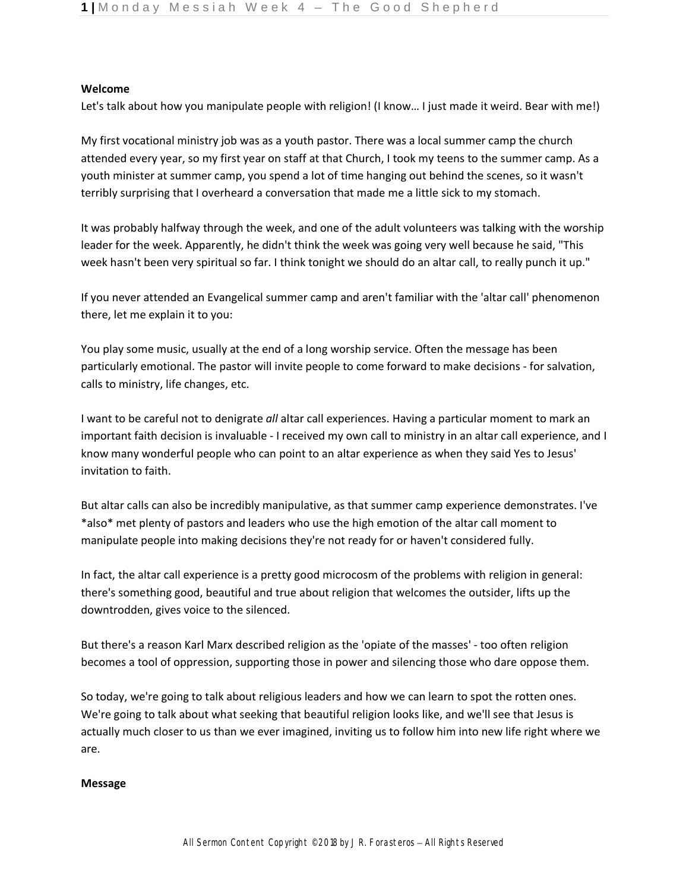## **Welcome**

Let's talk about how you manipulate people with religion! (I know… I just made it weird. Bear with me!)

My first vocational ministry job was as a youth pastor. There was a local summer camp the church attended every year, so my first year on staff at that Church, I took my teens to the summer camp. As a youth minister at summer camp, you spend a lot of time hanging out behind the scenes, so it wasn't terribly surprising that I overheard a conversation that made me a little sick to my stomach.

It was probably halfway through the week, and one of the adult volunteers was talking with the worship leader for the week. Apparently, he didn't think the week was going very well because he said, "This week hasn't been very spiritual so far. I think tonight we should do an altar call, to really punch it up."

If you never attended an Evangelical summer camp and aren't familiar with the 'altar call' phenomenon there, let me explain it to you:

You play some music, usually at the end of a long worship service. Often the message has been particularly emotional. The pastor will invite people to come forward to make decisions - for salvation, calls to ministry, life changes, etc.

I want to be careful not to denigrate *all* altar call experiences. Having a particular moment to mark an important faith decision is invaluable - I received my own call to ministry in an altar call experience, and I know many wonderful people who can point to an altar experience as when they said Yes to Jesus' invitation to faith.

But altar calls can also be incredibly manipulative, as that summer camp experience demonstrates. I've \*also\* met plenty of pastors and leaders who use the high emotion of the altar call moment to manipulate people into making decisions they're not ready for or haven't considered fully.

In fact, the altar call experience is a pretty good microcosm of the problems with religion in general: there's something good, beautiful and true about religion that welcomes the outsider, lifts up the downtrodden, gives voice to the silenced.

But there's a reason Karl Marx described religion as the 'opiate of the masses' - too often religion becomes a tool of oppression, supporting those in power and silencing those who dare oppose them.

So today, we're going to talk about religious leaders and how we can learn to spot the rotten ones. We're going to talk about what seeking that beautiful religion looks like, and we'll see that Jesus is actually much closer to us than we ever imagined, inviting us to follow him into new life right where we are.

## **Message**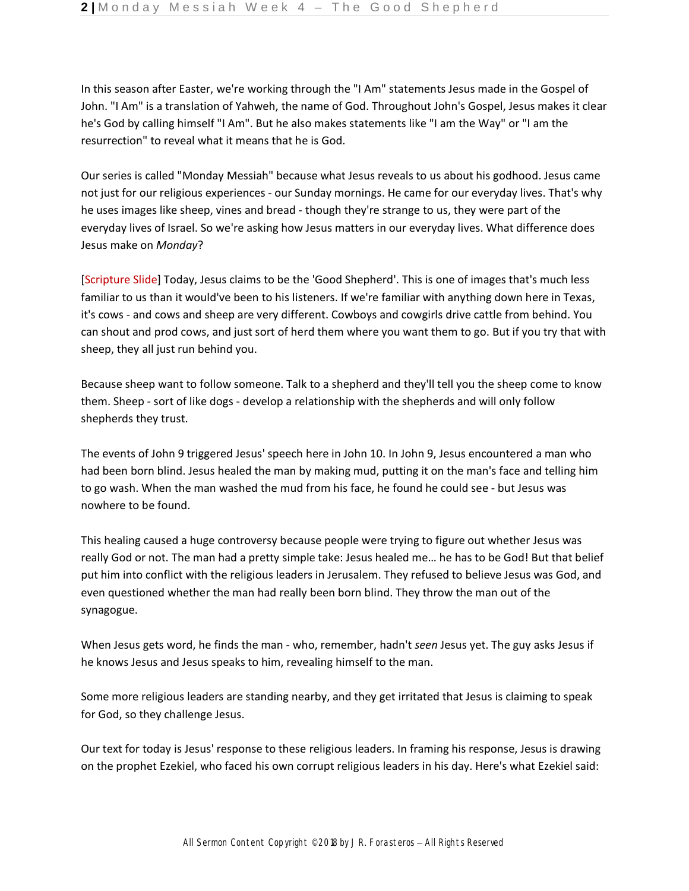In this season after Easter, we're working through the "I Am" statements Jesus made in the Gospel of John. "I Am" is a translation of Yahweh, the name of God. Throughout John's Gospel, Jesus makes it clear he's God by calling himself "I Am". But he also makes statements like "I am the Way" or "I am the resurrection" to reveal what it means that he is God.

Our series is called "Monday Messiah" because what Jesus reveals to us about his godhood. Jesus came not just for our religious experiences - our Sunday mornings. He came for our everyday lives. That's why he uses images like sheep, vines and bread - though they're strange to us, they were part of the everyday lives of Israel. So we're asking how Jesus matters in our everyday lives. What difference does Jesus make on *Monday*?

[Scripture Slide] Today, Jesus claims to be the 'Good Shepherd'. This is one of images that's much less familiar to us than it would've been to his listeners. If we're familiar with anything down here in Texas, it's cows - and cows and sheep are very different. Cowboys and cowgirls drive cattle from behind. You can shout and prod cows, and just sort of herd them where you want them to go. But if you try that with sheep, they all just run behind you.

Because sheep want to follow someone. Talk to a shepherd and they'll tell you the sheep come to know them. Sheep - sort of like dogs - develop a relationship with the shepherds and will only follow shepherds they trust.

The events of John 9 triggered Jesus' speech here in John 10. In John 9, Jesus encountered a man who had been born blind. Jesus healed the man by making mud, putting it on the man's face and telling him to go wash. When the man washed the mud from his face, he found he could see - but Jesus was nowhere to be found.

This healing caused a huge controversy because people were trying to figure out whether Jesus was really God or not. The man had a pretty simple take: Jesus healed me… he has to be God! But that belief put him into conflict with the religious leaders in Jerusalem. They refused to believe Jesus was God, and even questioned whether the man had really been born blind. They throw the man out of the synagogue.

When Jesus gets word, he finds the man - who, remember, hadn't *seen* Jesus yet. The guy asks Jesus if he knows Jesus and Jesus speaks to him, revealing himself to the man.

Some more religious leaders are standing nearby, and they get irritated that Jesus is claiming to speak for God, so they challenge Jesus.

Our text for today is Jesus' response to these religious leaders. In framing his response, Jesus is drawing on the prophet Ezekiel, who faced his own corrupt religious leaders in his day. Here's what Ezekiel said: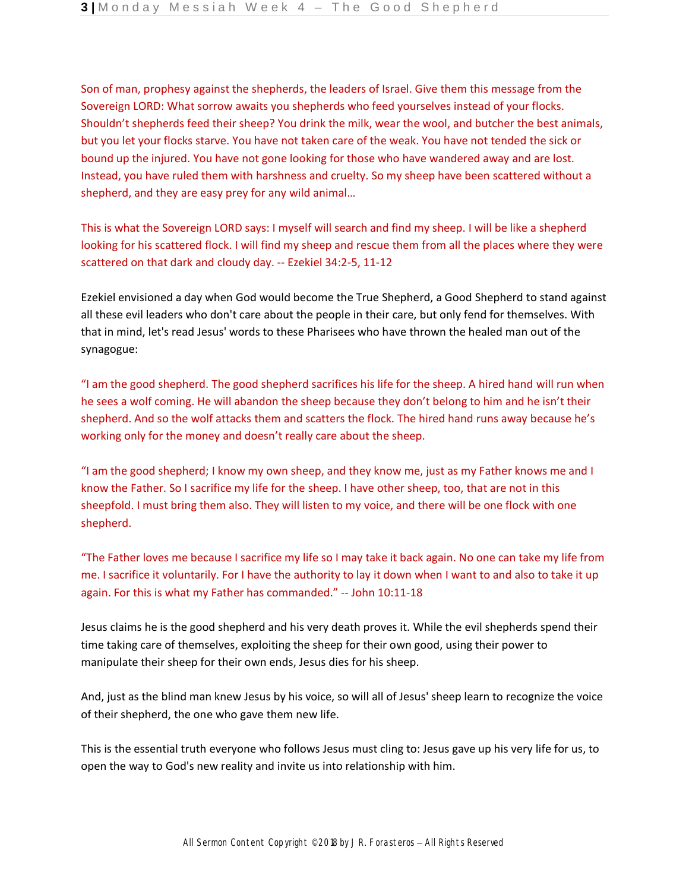Son of man, prophesy against the shepherds, the leaders of Israel. Give them this message from the Sovereign LORD: What sorrow awaits you shepherds who feed yourselves instead of your flocks. Shouldn't shepherds feed their sheep? You drink the milk, wear the wool, and butcher the best animals, but you let your flocks starve. You have not taken care of the weak. You have not tended the sick or bound up the injured. You have not gone looking for those who have wandered away and are lost. Instead, you have ruled them with harshness and cruelty. So my sheep have been scattered without a shepherd, and they are easy prey for any wild animal…

This is what the Sovereign LORD says: I myself will search and find my sheep. I will be like a shepherd looking for his scattered flock. I will find my sheep and rescue them from all the places where they were scattered on that dark and cloudy day. -- Ezekiel 34:2-5, 11-12

Ezekiel envisioned a day when God would become the True Shepherd, a Good Shepherd to stand against all these evil leaders who don't care about the people in their care, but only fend for themselves. With that in mind, let's read Jesus' words to these Pharisees who have thrown the healed man out of the synagogue:

"I am the good shepherd. The good shepherd sacrifices his life for the sheep. A hired hand will run when he sees a wolf coming. He will abandon the sheep because they don't belong to him and he isn't their shepherd. And so the wolf attacks them and scatters the flock. The hired hand runs away because he's working only for the money and doesn't really care about the sheep.

"I am the good shepherd; I know my own sheep, and they know me, just as my Father knows me and I know the Father. So I sacrifice my life for the sheep. I have other sheep, too, that are not in this sheepfold. I must bring them also. They will listen to my voice, and there will be one flock with one shepherd.

"The Father loves me because I sacrifice my life so I may take it back again. No one can take my life from me. I sacrifice it voluntarily. For I have the authority to lay it down when I want to and also to take it up again. For this is what my Father has commanded." -- John 10:11-18

Jesus claims he is the good shepherd and his very death proves it. While the evil shepherds spend their time taking care of themselves, exploiting the sheep for their own good, using their power to manipulate their sheep for their own ends, Jesus dies for his sheep.

And, just as the blind man knew Jesus by his voice, so will all of Jesus' sheep learn to recognize the voice of their shepherd, the one who gave them new life.

This is the essential truth everyone who follows Jesus must cling to: Jesus gave up his very life for us, to open the way to God's new reality and invite us into relationship with him.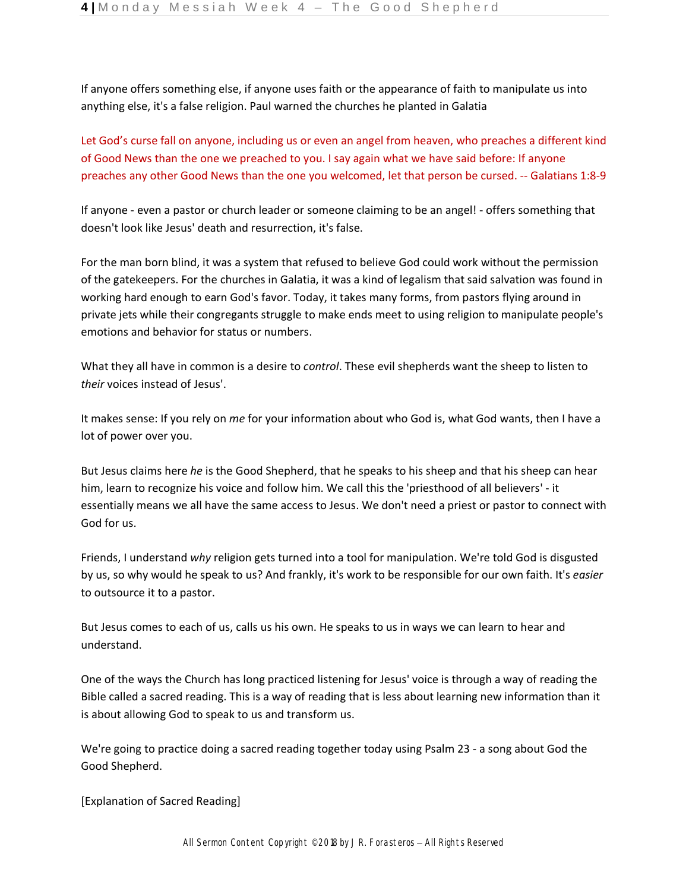If anyone offers something else, if anyone uses faith or the appearance of faith to manipulate us into anything else, it's a false religion. Paul warned the churches he planted in Galatia

Let God's curse fall on anyone, including us or even an angel from heaven, who preaches a different kind of Good News than the one we preached to you. I say again what we have said before: If anyone preaches any other Good News than the one you welcomed, let that person be cursed. -- Galatians 1:8-9

If anyone - even a pastor or church leader or someone claiming to be an angel! - offers something that doesn't look like Jesus' death and resurrection, it's false.

For the man born blind, it was a system that refused to believe God could work without the permission of the gatekeepers. For the churches in Galatia, it was a kind of legalism that said salvation was found in working hard enough to earn God's favor. Today, it takes many forms, from pastors flying around in private jets while their congregants struggle to make ends meet to using religion to manipulate people's emotions and behavior for status or numbers.

What they all have in common is a desire to *control*. These evil shepherds want the sheep to listen to *their* voices instead of Jesus'.

It makes sense: If you rely on *me* for your information about who God is, what God wants, then I have a lot of power over you.

But Jesus claims here *he* is the Good Shepherd, that he speaks to his sheep and that his sheep can hear him, learn to recognize his voice and follow him. We call this the 'priesthood of all believers' - it essentially means we all have the same access to Jesus. We don't need a priest or pastor to connect with God for us.

Friends, I understand *why* religion gets turned into a tool for manipulation. We're told God is disgusted by us, so why would he speak to us? And frankly, it's work to be responsible for our own faith. It's *easier*  to outsource it to a pastor.

But Jesus comes to each of us, calls us his own. He speaks to us in ways we can learn to hear and understand.

One of the ways the Church has long practiced listening for Jesus' voice is through a way of reading the Bible called a sacred reading. This is a way of reading that is less about learning new information than it is about allowing God to speak to us and transform us.

We're going to practice doing a sacred reading together today using Psalm 23 - a song about God the Good Shepherd.

[Explanation of Sacred Reading]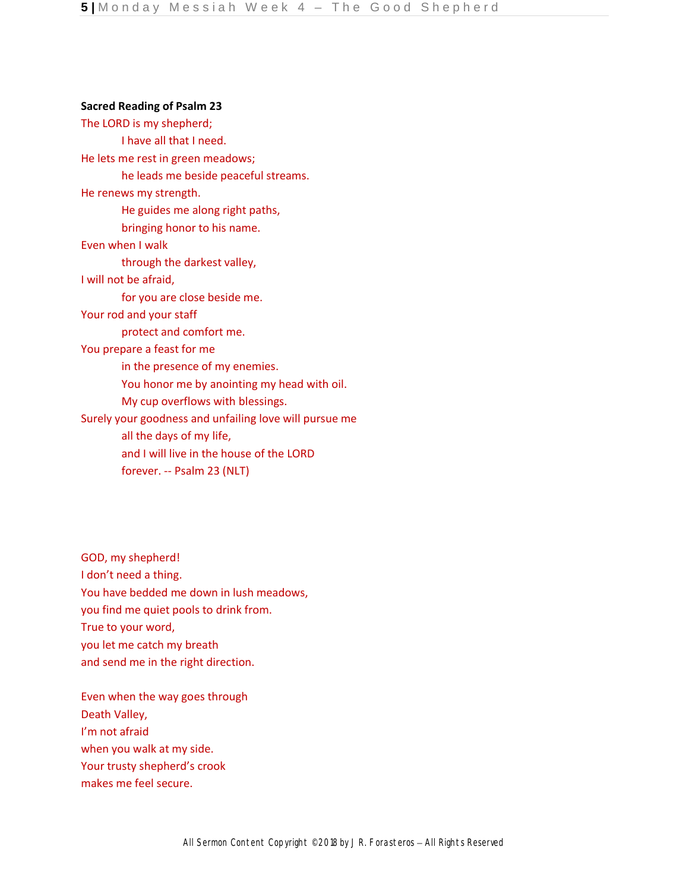## **Sacred Reading of Psalm 23**

The LORD is my shepherd; I have all that I need. He lets me rest in green meadows; he leads me beside peaceful streams. He renews my strength. He guides me along right paths, bringing honor to his name. Even when I walk through the darkest valley, I will not be afraid, for you are close beside me. Your rod and your staff protect and comfort me. You prepare a feast for me in the presence of my enemies. You honor me by anointing my head with oil. My cup overflows with blessings. Surely your goodness and unfailing love will pursue me all the days of my life, and I will live in the house of the LORD forever. -- Psalm 23 (NLT)

GOD, my shepherd! I don't need a thing. You have bedded me down in lush meadows, you find me quiet pools to drink from. True to your word, you let me catch my breath and send me in the right direction.

Even when the way goes through Death Valley, I'm not afraid when you walk at my side. Your trusty shepherd's crook makes me feel secure.